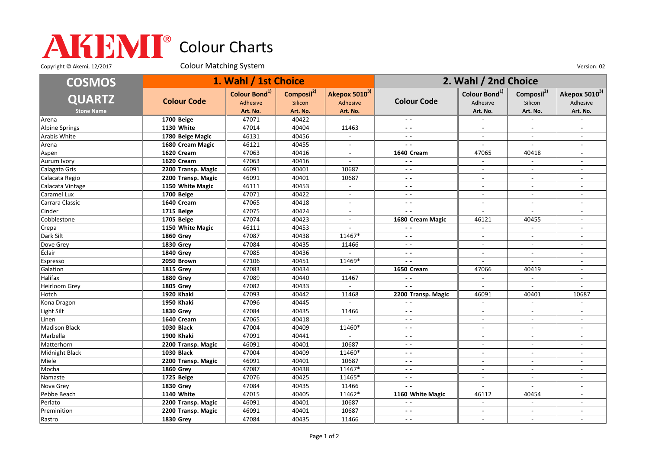## Colour Charts

Copyright © Akemi, 12/2017 Colour Matching System Colour Matching Consumers Colour Colour Matching System Version: 02

| <b>COSMOS</b>     |                    | 1. Wahl / 1st Choice      |                        |                          | 2. Wahl / 2nd Choice          |                           |                          |                           |
|-------------------|--------------------|---------------------------|------------------------|--------------------------|-------------------------------|---------------------------|--------------------------|---------------------------|
|                   |                    | Colour Bond <sup>1)</sup> | Composil <sup>2)</sup> | Akepox 50103)            |                               | Colour Bond <sup>1)</sup> | Composil <sup>2)</sup>   | Akepox 5010 <sup>3)</sup> |
| <b>QUARTZ</b>     | <b>Colour Code</b> | Adhesive                  | <b>Silicon</b>         | Adhesive                 | <b>Colour Code</b>            | Adhesive                  | Silicon                  | Adhesive                  |
| <b>Stone Name</b> |                    | Art. No.                  | Art. No.               | Art. No.                 |                               | Art. No.                  | Art. No.                 | Art. No.                  |
| Arena             | 1700 Beige         | 47071                     | 40422                  |                          | $ -$                          | $\sim$                    | $\overline{\phantom{a}}$ |                           |
| Alpine Springs    | 1130 White         | 47014                     | 40404                  | 11463                    | $ -$                          | $\sim$                    |                          |                           |
| Arabis White      | 1780 Beige Magic   | 46131                     | 40456                  | $\sim$                   | $ -$                          | $\sim$                    | $\sim$                   | $\overline{a}$            |
| Arena             | 1680 Cream Magic   | 46121                     | 40455                  | $\overline{\phantom{a}}$ | $\overline{\phantom{a}}$      | $\sim$                    | $\sim$                   |                           |
| Aspen             | 1620 Cream         | 47063                     | 40416                  | $\overline{\phantom{a}}$ | 1640 Cream                    | 47065                     | 40418                    | $\overline{\phantom{a}}$  |
| Aurum Ivory       | 1620 Cream         | 47063                     | 40416                  |                          | $\sim$ $\sim$                 | $\blacksquare$            |                          |                           |
| Calagata Gris     | 2200 Transp. Magic | 46091                     | 40401                  | 10687                    | $\sim$ $\sim$                 | $\mathbf{r}$              | $\overline{a}$           |                           |
| Calacata Regio    | 2200 Transp. Magic | 46091                     | 40401                  | 10687                    | $\sim$ $\sim$                 | $\blacksquare$            | $\overline{\phantom{a}}$ |                           |
| Calacata Vintage  | 1150 White Magic   | 46111                     | 40453                  | $\sim$                   | $ -$                          | $\sim$                    | $\sim$                   |                           |
| Caramel Lux       | 1700 Beige         | 47071                     | 40422                  |                          | $ -$                          | $\overline{\phantom{a}}$  | $\overline{\phantom{a}}$ |                           |
| Carrara Classic   | 1640 Cream         | 47065                     | 40418                  |                          | $ -$                          | $\overline{\phantom{a}}$  |                          |                           |
| Cinder            | 1715 Beige         | 47075                     | 40424                  | $\sim$                   | $\overline{a}$                | $\sim$                    | $\overline{a}$           | $\sim$                    |
| Cobblestone       | 1705 Beige         | 47074                     | 40423                  | $\overline{\phantom{a}}$ | 1680 Cream Magic              | 46121                     | 40455                    |                           |
| Crepa             | 1150 White Magic   | 46111                     | 40453                  | $\overline{\phantom{a}}$ | $ -$                          | $\blacksquare$            | $\blacksquare$           | $\overline{\phantom{a}}$  |
| Dark Silt         | <b>1860 Grey</b>   | 47087                     | 40438                  | 11467*                   | $\overline{a}$ $\overline{a}$ | $\overline{\phantom{a}}$  |                          |                           |
| Dove Grey         | <b>1830 Grev</b>   | 47084                     | 40435                  | 11466                    | $\sim$ $\sim$                 | $\mathbf{r}$              | $\overline{a}$           |                           |
| Éclair            | <b>1840 Grey</b>   | 47085                     | 40436                  |                          | $\sim$ $\sim$                 | $\overline{\phantom{a}}$  | $\overline{\phantom{a}}$ | $\overline{\phantom{a}}$  |
| Espresso          | 2050 Brown         | 47106                     | 40451                  | 11469*                   | . .                           | $\overline{a}$            |                          |                           |
| Galation          | <b>1815 Grev</b>   | 47083                     | 40434                  | $\sim$                   | <b>1650 Cream</b>             | 47066                     | 40419                    | $\overline{a}$            |
| Halifax           | <b>1880 Grey</b>   | 47089                     | 40440                  | 11467                    | $\overline{a}$                |                           |                          |                           |
| Heirloom Grey     | <b>1805 Grey</b>   | 47082                     | 40433                  | $\sim$                   | $\overline{a}$                | $\sim$                    | $\overline{\phantom{a}}$ | $\sim$                    |
| Hotch             | 1920 Khaki         | 47093                     | 40442                  | 11468                    | 2200 Transp. Magic            | 46091                     | 40401                    | 10687                     |
| Kona Dragon       | 1950 Khaki         | 47096                     | 40445                  |                          | $\sim$ $\sim$                 | $\overline{\phantom{a}}$  | $\blacksquare$           |                           |
| Light Silt        | 1830 Grey          | 47084                     | 40435                  | 11466                    | $\overline{\phantom{a}}$      | $\overline{\phantom{a}}$  |                          |                           |
| Linen             | 1640 Cream         | 47065                     | 40418                  | $\mathbb{L}^+$           | $ -$                          | $\mathbf{r}$              | $\overline{a}$           |                           |
| Madison Black     | <b>1030 Black</b>  | 47004                     | 40409                  | 11460*                   | $\sim$ $\sim$                 | $\overline{\phantom{a}}$  | $\overline{\phantom{a}}$ | $\overline{\phantom{a}}$  |
| Marbella          | 1900 Khaki         | 47091                     | 40441                  |                          | $ -$                          | $\overline{\phantom{a}}$  | $\overline{\phantom{a}}$ |                           |
| Matterhorn        | 2200 Transp. Magic | 46091                     | 40401                  | 10687                    | $\overline{\phantom{a}}$      | $\overline{\phantom{a}}$  | $\sim$                   | $\overline{\phantom{a}}$  |
| Midnight Black    | <b>1030 Black</b>  | 47004                     | 40409                  | 11460*                   | $ -$                          | $\overline{\phantom{a}}$  |                          |                           |
| Miele             | 2200 Transp. Magic | 46091                     | 40401                  | 10687                    | $ -$                          | $\overline{\phantom{a}}$  | $\sim$                   | $\sim$                    |
| Mocha             | <b>1860 Grev</b>   | 47087                     | 40438                  | 11467*                   | $ -$                          | $\blacksquare$            | $\overline{\phantom{a}}$ |                           |
| Namaste           | 1725 Beige         | 47076                     | 40425                  | 11465*                   | $ -$                          | $\overline{\phantom{a}}$  | $\blacksquare$           | $\sim$                    |
| Nova Grey         | 1830 Grey          | 47084                     | 40435                  | 11466                    | $\overline{\phantom{a}}$      | $\overline{a}$            |                          |                           |
| Pebbe Beach       | <b>1140 White</b>  | 47015                     | 40405                  | 11462*                   | 1160 White Magic              | 46112                     | 40454                    |                           |
| Perlato           | 2200 Transp. Magic | 46091                     | 40401                  | 10687                    | $\sim$ $\sim$                 | $\sim$                    | $\blacksquare$           |                           |
| Preminition       | 2200 Transp. Magic | 46091                     | 40401                  | 10687                    | $ -$                          | $\overline{\phantom{a}}$  | $\overline{\phantom{a}}$ |                           |
| Rastro            | <b>1830 Grev</b>   | 47084                     | 40435                  | 11466                    | $ -$                          | $\overline{\phantom{a}}$  | $\sim$                   |                           |